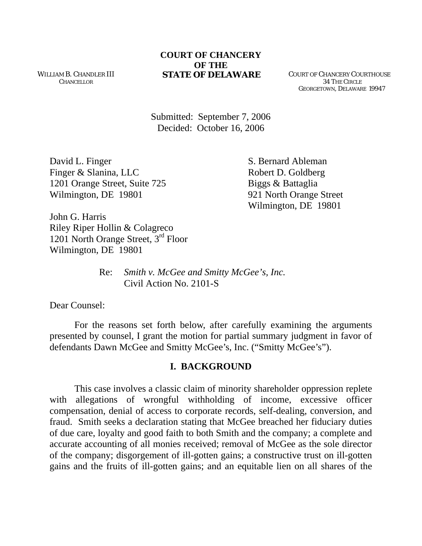WILLIAM B. CHANDLER III **CHANCELLOR** 

#### **COURT OF CHANCERY OF THE STATE OF DELAWARE** COURT OF CHANCERY COURTHOUSE

 34 THE CIRCLE GEORGETOWN, DELAWARE 19947

Submitted: September 7, 2006 Decided: October 16, 2006

David L. Finger S. Bernard Ableman Finger & Slanina, LLC Robert D. Goldberg 1201 Orange Street, Suite 725 Biggs & Battaglia Wilmington, DE 19801 921 North Orange Street

Wilmington, DE 19801

John G. Harris Riley Riper Hollin & Colagreco 1201 North Orange Street, 3rd Floor Wilmington, DE 19801

> Re: *Smith v. McGee and Smitty McGee's, Inc.*  Civil Action No. 2101-S

Dear Counsel:

For the reasons set forth below, after carefully examining the arguments presented by counsel, I grant the motion for partial summary judgment in favor of defendants Dawn McGee and Smitty McGee's, Inc. ("Smitty McGee's").

### **I. BACKGROUND**

This case involves a classic claim of minority shareholder oppression replete with allegations of wrongful withholding of income, excessive officer compensation, denial of access to corporate records, self-dealing, conversion, and fraud. Smith seeks a declaration stating that McGee breached her fiduciary duties of due care, loyalty and good faith to both Smith and the company; a complete and accurate accounting of all monies received; removal of McGee as the sole director of the company; disgorgement of ill-gotten gains; a constructive trust on ill-gotten gains and the fruits of ill-gotten gains; and an equitable lien on all shares of the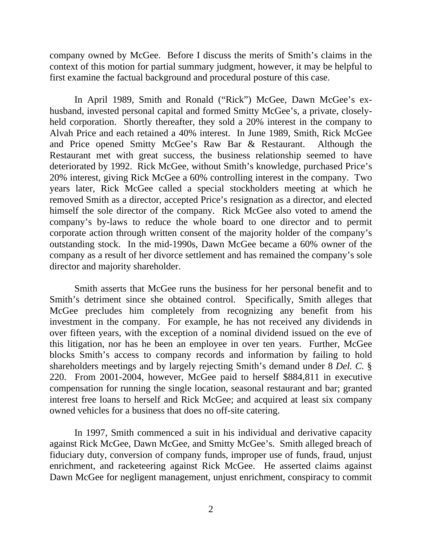company owned by McGee. Before I discuss the merits of Smith's claims in the context of this motion for partial summary judgment, however, it may be helpful to first examine the factual background and procedural posture of this case.

In April 1989, Smith and Ronald ("Rick") McGee, Dawn McGee's exhusband, invested personal capital and formed Smitty McGee's, a private, closelyheld corporation. Shortly thereafter, they sold a 20% interest in the company to Alvah Price and each retained a 40% interest. In June 1989, Smith, Rick McGee and Price opened Smitty McGee's Raw Bar & Restaurant. Although the Restaurant met with great success, the business relationship seemed to have deteriorated by 1992. Rick McGee, without Smith's knowledge, purchased Price's 20% interest, giving Rick McGee a 60% controlling interest in the company. Two years later, Rick McGee called a special stockholders meeting at which he removed Smith as a director, accepted Price's resignation as a director, and elected himself the sole director of the company. Rick McGee also voted to amend the company's by-laws to reduce the whole board to one director and to permit corporate action through written consent of the majority holder of the company's outstanding stock. In the mid-1990s, Dawn McGee became a 60% owner of the company as a result of her divorce settlement and has remained the company's sole director and majority shareholder.

Smith asserts that McGee runs the business for her personal benefit and to Smith's detriment since she obtained control. Specifically, Smith alleges that McGee precludes him completely from recognizing any benefit from his investment in the company. For example, he has not received any dividends in over fifteen years, with the exception of a nominal dividend issued on the eve of this litigation, nor has he been an employee in over ten years. Further, McGee blocks Smith's access to company records and information by failing to hold shareholders meetings and by largely rejecting Smith's demand under 8 *Del. C.* § 220. From 2001-2004, however, McGee paid to herself \$884,811 in executive compensation for running the single location, seasonal restaurant and bar; granted interest free loans to herself and Rick McGee; and acquired at least six company owned vehicles for a business that does no off-site catering.

In 1997, Smith commenced a suit in his individual and derivative capacity against Rick McGee, Dawn McGee, and Smitty McGee's. Smith alleged breach of fiduciary duty, conversion of company funds, improper use of funds, fraud, unjust enrichment, and racketeering against Rick McGee. He asserted claims against Dawn McGee for negligent management, unjust enrichment, conspiracy to commit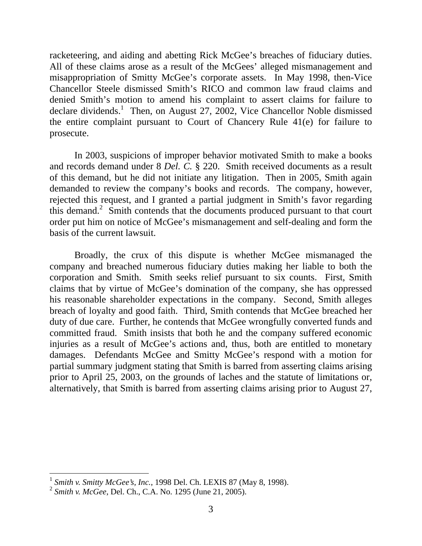racketeering, and aiding and abetting Rick McGee's breaches of fiduciary duties. All of these claims arose as a result of the McGees' alleged mismanagement and misappropriation of Smitty McGee's corporate assets. In May 1998, then-Vice Chancellor Steele dismissed Smith's RICO and common law fraud claims and denied Smith's motion to amend his complaint to assert claims for failure to declare dividends.<sup>[1](#page-2-0)</sup> Then, on August 27, 2002, Vice Chancellor Noble dismissed the entire complaint pursuant to Court of Chancery Rule 41(e) for failure to prosecute.

In 2003, suspicions of improper behavior motivated Smith to make a books and records demand under 8 *Del. C.* § 220. Smith received documents as a result of this demand, but he did not initiate any litigation. Then in 2005, Smith again demanded to review the company's books and records. The company, however, rejected this request, and I granted a partial judgment in Smith's favor regarding this demand.<sup>[2](#page-2-1)</sup> Smith contends that the documents produced pursuant to that court order put him on notice of McGee's mismanagement and self-dealing and form the basis of the current lawsuit.

Broadly, the crux of this dispute is whether McGee mismanaged the company and breached numerous fiduciary duties making her liable to both the corporation and Smith. Smith seeks relief pursuant to six counts. First, Smith claims that by virtue of McGee's domination of the company, she has oppressed his reasonable shareholder expectations in the company. Second, Smith alleges breach of loyalty and good faith. Third, Smith contends that McGee breached her duty of due care. Further, he contends that McGee wrongfully converted funds and committed fraud. Smith insists that both he and the company suffered economic injuries as a result of McGee's actions and, thus, both are entitled to monetary damages. Defendants McGee and Smitty McGee's respond with a motion for partial summary judgment stating that Smith is barred from asserting claims arising prior to April 25, 2003, on the grounds of laches and the statute of limitations or, alternatively, that Smith is barred from asserting claims arising prior to August 27,

 $\overline{a}$ 

<span id="page-2-0"></span><sup>1</sup> *Smith v. Smitty McGee's, Inc.*, 1998 Del. Ch. LEXIS 87 (May 8, 1998).

<span id="page-2-1"></span><sup>2</sup> *Smith v. McGee*, Del. Ch., C.A. No. 1295 (June 21, 2005).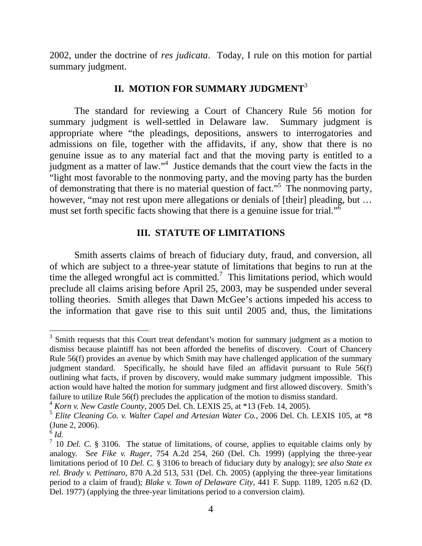2002, under the doctrine of *res judicata*. Today, I rule on this motion for partial summary judgment.

# **II. MOTION FOR SUMMARY JUDGMENT**[3](#page-3-0)

The standard for reviewing a Court of Chancery Rule 56 motion for summary judgment is well-settled in Delaware law. Summary judgment is appropriate where "the pleadings, depositions, answers to interrogatories and admissions on file, together with the affidavits, if any, show that there is no genuine issue as to any material fact and that the moving party is entitled to a judgment as a matter of law."<sup>4</sup> Justice demands that the court view the facts in the "light most favorable to the nonmoving party, and the moving party has the burden of demonstrating that there is no material question of fact."<sup>[5](#page-3-2)</sup> The nonmoving party, however, "may not rest upon mere allegations or denials of [their] pleading, but ... must set forth specific facts showing that there is a genuine issue for trial." $\overline{6}$  $\overline{6}$  $\overline{6}$ 

### **III. STATUTE OF LIMITATIONS**

Smith asserts claims of breach of fiduciary duty, fraud, and conversion, all of which are subject to a three-year statute of limitations that begins to run at the time the alleged wrongful act is committed.<sup>[7](#page-3-4)</sup> This limitations period, which would preclude all claims arising before April 25, 2003, may be suspended under several tolling theories. Smith alleges that Dawn McGee's actions impeded his access to the information that gave rise to this suit until 2005 and, thus, the limitations

<span id="page-3-0"></span><sup>&</sup>lt;sup>3</sup> Smith requests that this Court treat defendant's motion for summary judgment as a motion to dismiss because plaintiff has not been afforded the benefits of discovery. Court of Chancery Rule 56(f) provides an avenue by which Smith may have challenged application of the summary judgment standard. Specifically, he should have filed an affidavit pursuant to Rule 56(f) outlining what facts, if proven by discovery, would make summary judgment impossible. This action would have halted the motion for summary judgment and first allowed discovery. Smith's failure to utilize Rule 56(f) precludes the application of the motion to dismiss standard.

<span id="page-3-1"></span><sup>4</sup> *Korn v. New Castle County*, 2005 Del. Ch. LEXIS 25, at \*13 (Feb. 14, 2005).

<span id="page-3-2"></span><sup>5</sup> *Elite Cleaning Co. v. Walter Capel and Artesian Water Co.*, 2006 Del. Ch. LEXIS 105, at \*8  $\int_{6}^{6}$  *Id.* 

<span id="page-3-3"></span>

<span id="page-3-4"></span><sup>&</sup>lt;sup>7</sup> 10 *Del.* C. § 3106. The statue of limitations, of course, applies to equitable claims only by analogy. S*ee Fike v. Ruger*, 754 A.2d 254, 260 (Del. Ch. 1999) (applying the three-year limitations period of 10 *Del. C.* § 3106 to breach of fiduciary duty by analogy); *see also State ex rel. Brady v. Pettinaro*, 870 A.2d 513, 531 (Del. Ch. 2005) (applying the three-year limitations period to a claim of fraud); *Blake v. Town of Delaware City*, 441 F. Supp. 1189, 1205 n.62 (D. Del. 1977) (applying the three-year limitations period to a conversion claim).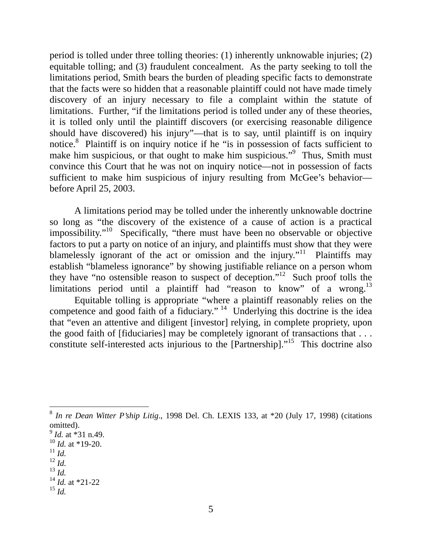period is tolled under three tolling theories: (1) inherently unknowable injuries; (2) equitable tolling; and (3) fraudulent concealment. As the party seeking to toll the limitations period, Smith bears the burden of pleading specific facts to demonstrate that the facts were so hidden that a reasonable plaintiff could not have made timely discovery of an injury necessary to file a complaint within the statute of limitations. Further, "if the limitations period is tolled under any of these theories, it is tolled only until the plaintiff discovers (or exercising reasonable diligence should have discovered) his injury"—that is to say, until plaintiff is on inquiry notice.<sup>[8](#page-4-0)</sup> Plaintiff is on inquiry notice if he "is in possession of facts sufficient to make him suspicious, or that ought to make him suspicious."<sup>[9](#page-4-1)</sup> Thus, Smith must convince this Court that he was not on inquiry notice—not in possession of facts sufficient to make him suspicious of injury resulting from McGee's behavior before April 25, 2003.

A limitations period may be tolled under the inherently unknowable doctrine so long as "[the discovery of the existence of a cause of action is a practical](http://www.lexis.com/research/xlink?app=00075&view=full&searchtype=get&search=1998+Del.+Ch.+LEXIS+133)  [impossibility."10 Specifically, "there must have been no observable or objective](http://www.lexis.com/research/xlink?app=00075&view=full&searchtype=get&search=1998+Del.+Ch.+LEXIS+133)  [factors to put a party on notice of an injury, and plaintiffs must show that they were](http://www.lexis.com/research/xlink?app=00075&view=full&searchtype=get&search=1998+Del.+Ch.+LEXIS+133)  [blamelessly ignorant of the act or omission and the injury."](http://www.lexis.com/research/xlink?app=00075&view=full&searchtype=get&search=1998+Del.+Ch.+LEXIS+133)<sup>11</sup> Plaintiffs may [establish "blameless ignorance" by showing justifiable reliance on a person whom](http://www.lexis.com/research/xlink?app=00075&view=full&searchtype=get&search=1998+Del.+Ch.+LEXIS+133)  [they have "no ostensible reason to suspect of deception."12 Such proof tolls the](http://www.lexis.com/research/xlink?app=00075&view=full&searchtype=get&search=1998+Del.+Ch.+LEXIS+133)  limitations period until a plaintiff had "reason to know" of a wrong.<sup>13</sup>

Equitable tolling is appropriate "where a plaintiff reasonably relies on the competence and good faith of a fiduciary." <sup>14</sup> Underlying this doctrine is the idea that "even an attentive and diligent [invest[or\]](#page-4-6) relying, in complete propriety, upon the good faith of [fiduciaries] may be completely ignorant of transactions that  $\dots$ constitute self-interested acts injurious to the  $[Partnership]$ ."<sup>15</sup> This doctrine also

<span id="page-4-3"></span><sup>11</sup> *Id.* <sup>12</sup> *Id.*

 $\overline{a}$ 

- <span id="page-4-5"></span><span id="page-4-4"></span><sup>13</sup> *Id.*
- 

<span id="page-4-0"></span><sup>8</sup> *In re Dean Witter P'ship Litig*., 1998 Del. Ch. LEXIS 133, at \*20 (July 17, 1998) (citations omitted).

<span id="page-4-1"></span><sup>9</sup> *Id.* at \*31 n.49.

<span id="page-4-2"></span><sup>10</sup> *Id.* at \*19-20.

<span id="page-4-6"></span> $14$  *Id.* at \*21-22 <sup>15</sup> *Id.*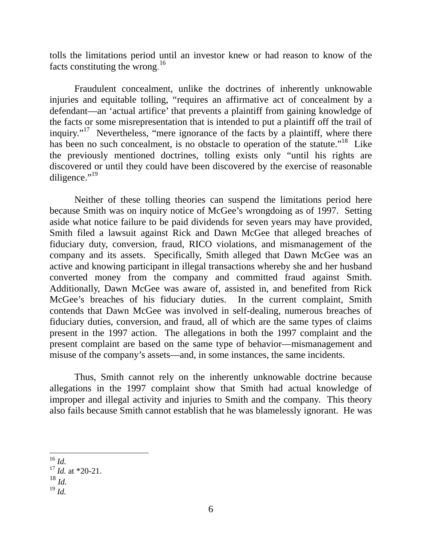tolls the limitations period until an investor knew or had reason to know of the facts constituting the wrong. [16](#page-5-0)

Fraudulent concealment, unlike the doctrines of inherently unknowable injuries and equitable tolling, "requires an affirmative act of concealment by a defendant—an 'actual artifice' that prevents a plaintiff from gaining knowledge of the facts or some misrepresentation that is intended to put a plaintiff off the trail of inquiry."<sup>17</sup> Nevertheless, "mere ignorance of the facts by a plaintiff, where there has been no such concealment, is no obstacle to operation of the statute."<sup>18</sup> Like the previously mentioned doctrines, tolling exists only "until his rights are discovered or until they could have been discovered by the exercise of reasonable diligence." $^{19}$  $^{19}$  $^{19}$ 

Neither of these tolling theories can suspend the limitations period here because Smith was on inquiry notice of McGee's wrongdoing as of 1997. Setting aside what notice failure to be paid dividends for seven years may have provided, Smith filed a lawsuit against Rick and Dawn McGee that alleged breaches of fiduciary duty, conversion, fraud, RICO violations, and mismanagement of the company and its assets. Specifically, Smith alleged that Dawn McGee was an active and knowing participant in illegal transactions whereby she and her husband converted money from the company and committed fraud against Smith. Additionally, Dawn McGee was aware of, assisted in, and benefited from Rick McGee's breaches of his fiduciary duties. In the current complaint, Smith contends that Dawn McGee was involved in self-dealing, numerous breaches of fiduciary duties, conversion, and fraud, all of which are the same types of claims present in the 1997 action. The allegations in both the 1997 complaint and the present complaint are based on the same type of behavior—mismanagement and misuse of the company's assets—and, in some instances, the same incidents.

Thus, Smith cannot rely on the inherently unknowable doctrine because allegations in the 1997 complaint show that Smith had actual knowledge of improper and illegal activity and injuries to Smith and the company. This theory also fails because Smith cannot establish that he was blamelessly ignorant. He was

- <span id="page-5-2"></span><sup>18</sup> *Id.*
- <span id="page-5-3"></span><sup>19</sup> *Id.*

<span id="page-5-0"></span> $\overline{a}$  $^{16}$  *Id*.

<span id="page-5-1"></span> $^{17}$  *Id.* at \*20-21.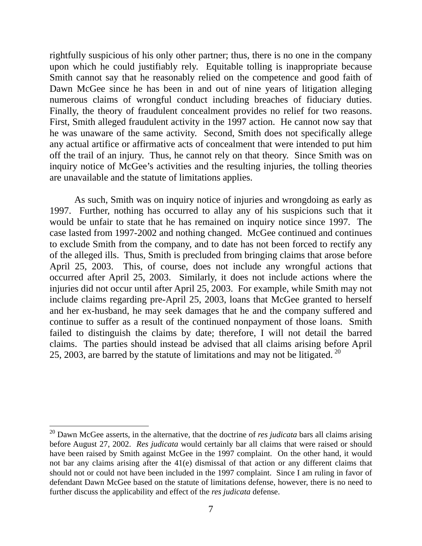rightfully suspicious of his only other partner; thus, there is no one in the company upon which he could justifiably rely. Equitable tolling is inappropriate because Smith cannot say that he reasonably relied on the competence and good faith of Dawn McGee since he has been in and out of nine years of litigation alleging numerous claims of wrongful conduct including breaches of fiduciary duties. Finally, the theory of fraudulent concealment provides no relief for two reasons. First, Smith alleged fraudulent activity in the 1997 action. He cannot now say that he was unaware of the same activity. Second, Smith does not specifically allege any actual artifice or affirmative acts of concealment that were intended to put him off the trail of an injury. Thus, he cannot rely on that theory. Since Smith was on inquiry notice of McGee's activities and the resulting injuries, the tolling theories are unavailable and the statute of limitations applies.

As such, Smith was on inquiry notice of injuries and wrongdoing as early as 1997. Further, nothing has occurred to allay any of his suspicions such that it would be unfair to state that he has remained on inquiry notice since 1997. The case lasted from 1997-2002 and nothing changed. McGee continued and continues to exclude Smith from the company, and to date has not been forced to rectify any of the alleged ills. Thus, Smith is precluded from bringing claims that arose before April 25, 2003. This, of course, does not include any wrongful actions that occurred after April 25, 2003. Similarly, it does not include actions where the injuries did not occur until after April 25, 2003. For example, while Smith may not include claims regarding pre-April 25, 2003, loans that McGee granted to herself and her ex-husband, he may seek damages that he and the company suffered and continue to suffer as a result of the continued nonpayment of those loans. Smith failed to distinguish the claims by date; therefore, I will not detail the barred claims. The parties should instead be advised that all claims arising before April 25, 2003, are barred by the statute of limitations and may not be litigated.<sup>20</sup>

 $\overline{a}$ 

<span id="page-6-0"></span><sup>20</sup> Dawn McGee asserts, in the alternative, that the doctrine of *res judicata* bars all claims arising before August 27, 2002. *Res judicata* would certainly bar all claims that were raised or should have been raised by Smith against McGee in the 1997 complaint. On the other hand, it would not bar any claims arising after the 41(e) dismissal of that action or any different claims that should not or could not have been included in the 1997 complaint. Since I am ruling in favor of defendant Dawn McGee based on the statute of limitations defense, however, there is no need to further discuss the applicability and effect of the *res judicata* defense.